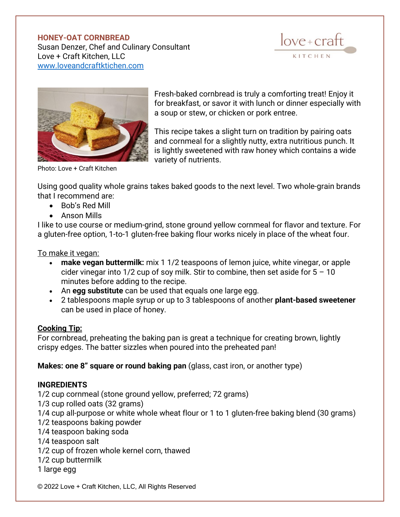## **HONEY-OAT CORNBREAD** Susan Denzer, Chef and Culinary Consultant Love + Craft Kitchen, LLC

[www.loveandcraftktichen.com](http://www.loveandcraftktichen.com/)

 $love + craft$ KITCHEN



Fresh-baked cornbread is truly a comforting treat! Enjoy it for breakfast, or savor it with lunch or dinner especially with a soup or stew, or chicken or pork entree.

This recipe takes a slight turn on tradition by pairing oats and cornmeal for a slightly nutty, extra nutritious punch. It is lightly sweetened with raw honey which contains a wide variety of nutrients.

Photo: Love + Craft Kitchen

Using good quality whole grains takes baked goods to the next level. Two whole-grain brands that I recommend are:

- Bob's Red Mill
- Anson Mills

I like to use course or medium-grind, stone ground yellow cornmeal for flavor and texture. For a gluten-free option, 1-to-1 gluten-free baking flour works nicely in place of the wheat four.

To make it vegan:

- **make vegan buttermilk:** mix 1 1/2 teaspoons of lemon juice, white vinegar, or apple cider vinegar into  $1/2$  cup of soy milk. Stir to combine, then set aside for  $5 - 10$ minutes before adding to the recipe.
- An **egg substitute** can be used that equals one large egg.
- 2 tablespoons maple syrup or up to 3 tablespoons of another **plant-based sweetener** can be used in place of honey.

## **Cooking Tip:**

For cornbread, preheating the baking pan is great a technique for creating brown, lightly crispy edges. The batter sizzles when poured into the preheated pan!

**Makes: one 8" square or round baking pan** (glass, cast iron, or another type)

## **INGREDIENTS**

1/2 cup cornmeal (stone ground yellow, preferred; 72 grams) 1/3 cup rolled oats (32 grams) 1/4 cup all-purpose or white whole wheat flour or 1 to 1 gluten-free baking blend (30 grams) 1/2 teaspoons baking powder 1/4 teaspoon baking soda 1/4 teaspoon salt 1/2 cup of frozen whole kernel corn, thawed 1/2 cup buttermilk 1 large egg

© 2022 Love + Craft Kitchen, LLC, All Rights Reserved